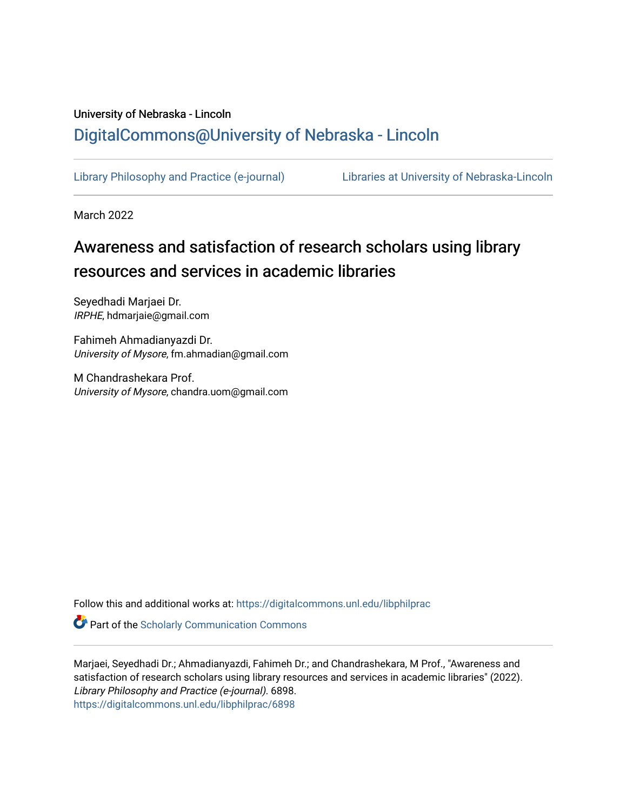### University of Nebraska - Lincoln [DigitalCommons@University of Nebraska - Lincoln](https://digitalcommons.unl.edu/)

[Library Philosophy and Practice \(e-journal\)](https://digitalcommons.unl.edu/libphilprac) [Libraries at University of Nebraska-Lincoln](https://digitalcommons.unl.edu/libraries) 

March 2022

# Awareness and satisfaction of research scholars using library resources and services in academic libraries

Seyedhadi Marjaei Dr. IRPHE, hdmarjaie@gmail.com

Fahimeh Ahmadianyazdi Dr. University of Mysore, fm.ahmadian@gmail.com

M Chandrashekara Prof. University of Mysore, chandra.uom@gmail.com

Follow this and additional works at: [https://digitalcommons.unl.edu/libphilprac](https://digitalcommons.unl.edu/libphilprac?utm_source=digitalcommons.unl.edu%2Flibphilprac%2F6898&utm_medium=PDF&utm_campaign=PDFCoverPages) 

**Part of the Scholarly Communication Commons** 

Marjaei, Seyedhadi Dr.; Ahmadianyazdi, Fahimeh Dr.; and Chandrashekara, M Prof., "Awareness and satisfaction of research scholars using library resources and services in academic libraries" (2022). Library Philosophy and Practice (e-journal). 6898. [https://digitalcommons.unl.edu/libphilprac/6898](https://digitalcommons.unl.edu/libphilprac/6898?utm_source=digitalcommons.unl.edu%2Flibphilprac%2F6898&utm_medium=PDF&utm_campaign=PDFCoverPages)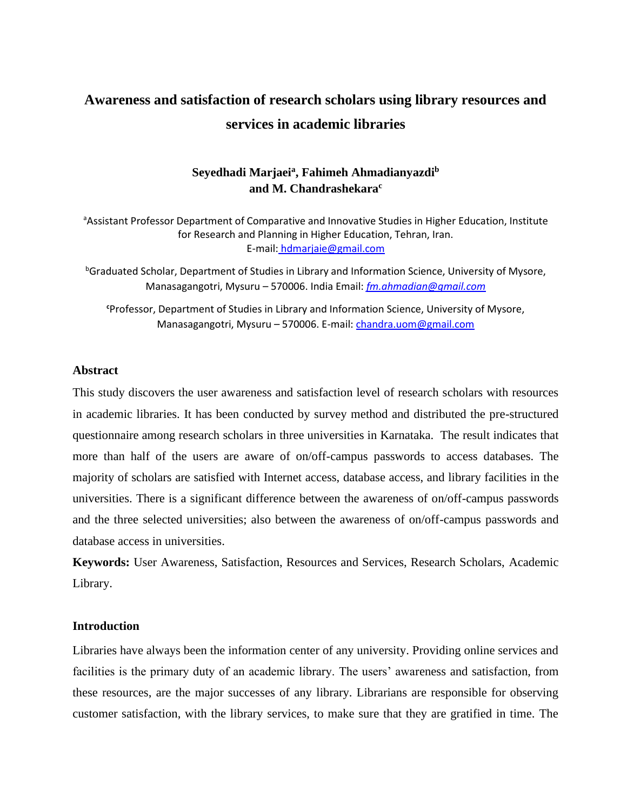## **Awareness and satisfaction of research scholars using library resources and services in academic libraries**

### **Seyedhadi Marjaei<sup>a</sup> , Fahimeh Ahmadianyazdi<sup>b</sup> and M. Chandrashekara<sup>c</sup>**

aCssistant Professor Department of Comparative and Innovative Studies in Higher Education, Institute for Research and Planning in Higher Education, Tehran, Iran. E-mail: hdmarjaie@gmail.com

**bGraduated Scholar, Department of Studies in Library and Information Science, University of Mysore,** Manasagangotri, Mysuru – 570006. India Email: *[fm.ahmadian@gmail.com](mailto:fm.ahmadian@gmail.com)*

**<sup>c</sup>**Professor, Department of Studies in Library and Information Science, University of Mysore, Manasagangotri, Mysuru – 570006. E-mail[: chandra.uom@gmail.com](mailto:chandra.uom@gmail.com)

#### **Abstract**

This study discovers the user awareness and satisfaction level of research scholars with resources in academic libraries. It has been conducted by survey method and distributed the pre-structured questionnaire among research scholars in three universities in Karnataka. The result indicates that more than half of the users are aware of on/off-campus passwords to access databases. The majority of scholars are satisfied with Internet access, database access, and library facilities in the universities. There is a significant difference between the awareness of on/off-campus passwords and the three selected universities; also between the awareness of on/off-campus passwords and database access in universities.

**Keywords:** User Awareness, Satisfaction, Resources and Services, Research Scholars, Academic Library.

#### **Introduction**

Libraries have always been the information center of any university. Providing online services and facilities is the primary duty of an academic library. The users' awareness and satisfaction, from these resources, are the major successes of any library. Librarians are responsible for observing customer satisfaction, with the library services, to make sure that they are gratified in time. The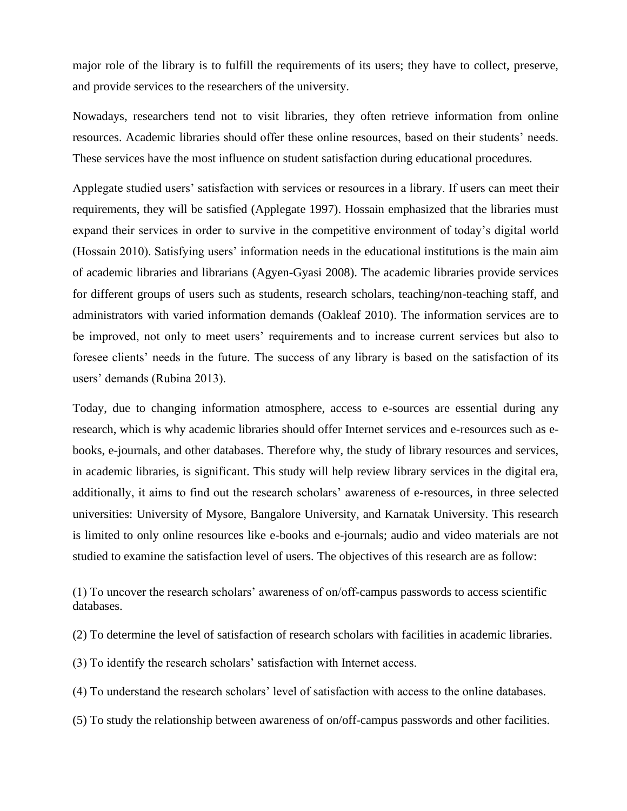major role of the library is to fulfill the requirements of its users; they have to collect, preserve, and provide services to the researchers of the university.

Nowadays, researchers tend not to visit libraries, they often retrieve information from online resources. Academic libraries should offer these online resources, based on their students' needs. These services have the most influence on student satisfaction during educational procedures.

Applegate studied users' satisfaction with services or resources in a library. If users can meet their requirements, they will be satisfied (Applegate 1997). Hossain emphasized that the libraries must expand their services in order to survive in the competitive environment of today's digital world (Hossain 2010). Satisfying users' information needs in the educational institutions is the main aim of academic libraries and librarians (Agyen-Gyasi 2008). The academic libraries provide services for different groups of users such as students, research scholars, teaching/non-teaching staff, and administrators with varied information demands (Oakleaf 2010). The information services are to be improved, not only to meet users' requirements and to increase current services but also to foresee clients' needs in the future. The success of any library is based on the satisfaction of its users' demands (Rubina 2013).

Today, due to changing information atmosphere, access to e-sources are essential during any research, which is why academic libraries should offer Internet services and e-resources such as ebooks, e-journals, and other databases. Therefore why, the study of library resources and services, in academic libraries, is significant. This study will help review library services in the digital era, additionally, it aims to find out the research scholars' awareness of e-resources, in three selected universities: University of Mysore, Bangalore University, and Karnatak University. This research is limited to only online resources like e-books and e-journals; audio and video materials are not studied to examine the satisfaction level of users. The objectives of this research are as follow:

(1) To uncover the research scholars' awareness of on/off-campus passwords to access scientific databases.

(2) To determine the level of satisfaction of research scholars with facilities in academic libraries.

(3) To identify the research scholars' satisfaction with Internet access.

(4) To understand the research scholars' level of satisfaction with access to the online databases.

(5) To study the relationship between awareness of on/off-campus passwords and other facilities.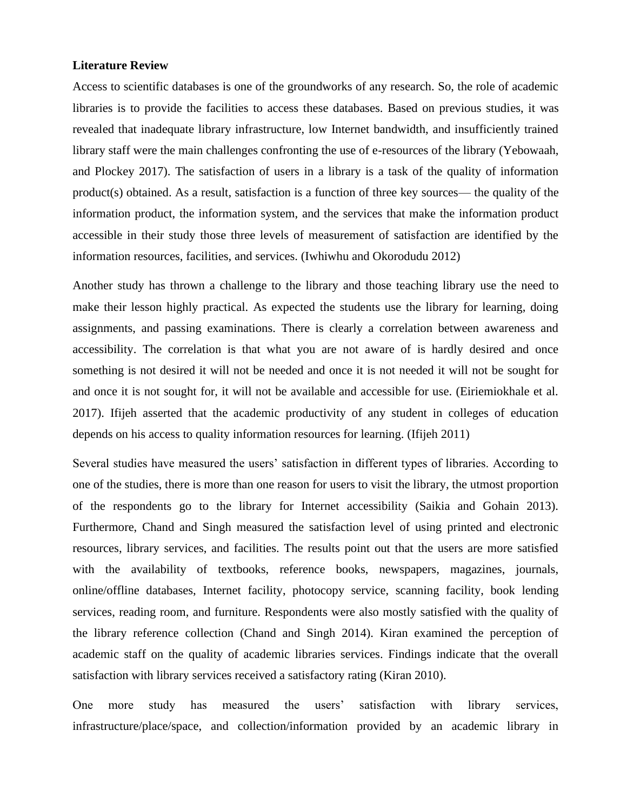#### **Literature Review**

Access to scientific databases is one of the groundworks of any research. So, the role of academic libraries is to provide the facilities to access these databases. Based on previous studies, it was revealed that inadequate library infrastructure, low Internet bandwidth, and insufficiently trained library staff were the main challenges confronting the use of e-resources of the library (Yebowaah, and Plockey 2017). The satisfaction of users in a library is a task of the quality of information product(s) obtained. As a result, satisfaction is a function of three key sources— the quality of the information product, the information system, and the services that make the information product accessible in their study those three levels of measurement of satisfaction are identified by the information resources, facilities, and services. (Iwhiwhu and Okorodudu 2012)

Another study has thrown a challenge to the library and those teaching library use the need to make their lesson highly practical. As expected the students use the library for learning, doing assignments, and passing examinations. There is clearly a correlation between awareness and accessibility. The correlation is that what you are not aware of is hardly desired and once something is not desired it will not be needed and once it is not needed it will not be sought for and once it is not sought for, it will not be available and accessible for use. (Eiriemiokhale et al. 2017). Ifijeh asserted that the academic productivity of any student in colleges of education depends on his access to quality information resources for learning. (Ifijeh 2011)

Several studies have measured the users' satisfaction in different types of libraries. According to one of the studies, there is more than one reason for users to visit the library, the utmost proportion of the respondents go to the library for Internet accessibility (Saikia and Gohain 2013). Furthermore, Chand and Singh measured the satisfaction level of using printed and electronic resources, library services, and facilities. The results point out that the users are more satisfied with the availability of textbooks, reference books, newspapers, magazines, journals, online/offline databases, Internet facility, photocopy service, scanning facility, book lending services, reading room, and furniture. Respondents were also mostly satisfied with the quality of the library reference collection (Chand and Singh 2014). Kiran examined the perception of academic staff on the quality of academic libraries services. Findings indicate that the overall satisfaction with library services received a satisfactory rating (Kiran 2010).

One more study has measured the users' satisfaction with library services, infrastructure/place/space, and collection/information provided by an academic library in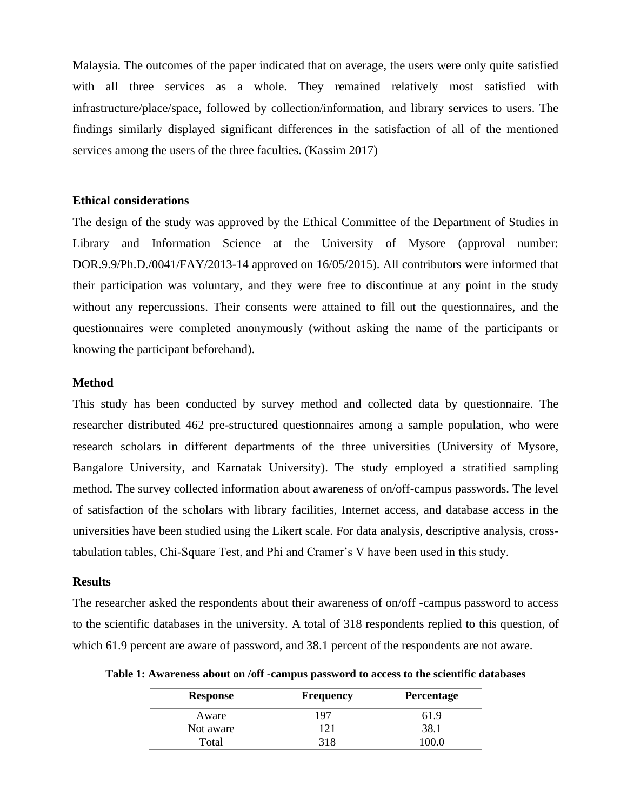Malaysia. The outcomes of the paper indicated that on average, the users were only quite satisfied with all three services as a whole. They remained relatively most satisfied with infrastructure/place/space, followed by collection/information, and library services to users. The findings similarly displayed significant differences in the satisfaction of all of the mentioned services among the users of the three faculties. (Kassim 2017)

#### **Ethical considerations**

The design of the study was approved by the Ethical Committee of the Department of Studies in Library and Information Science at the University of Mysore (approval number: DOR.9.9/Ph.D./0041/FAY/2013-14 approved on 16/05/2015). All contributors were informed that their participation was voluntary, and they were free to discontinue at any point in the study without any repercussions. Their consents were attained to fill out the questionnaires, and the questionnaires were completed anonymously (without asking the name of the participants or knowing the participant beforehand).

#### **Method**

This study has been conducted by survey method and collected data by questionnaire. The researcher distributed 462 pre-structured questionnaires among a sample population, who were research scholars in different departments of the three universities (University of Mysore, Bangalore University, and Karnatak University). The study employed a stratified sampling method. The survey collected information about awareness of on/off-campus passwords. The level of satisfaction of the scholars with library facilities, Internet access, and database access in the universities have been studied using the Likert scale. For data analysis, descriptive analysis, crosstabulation tables, Chi-Square Test, and Phi and Cramer's V have been used in this study.

#### **Results**

The researcher asked the respondents about their awareness of on/off -campus password to access to the scientific databases in the university. A total of 318 respondents replied to this question, of which 61.9 percent are aware of password, and 38.1 percent of the respondents are not aware.

| <b>Response</b> | <b>Frequency</b> | <b>Percentage</b> |  |  |
|-----------------|------------------|-------------------|--|--|
| Aware           | 197              | 61.9              |  |  |
| Not aware       |                  | 38.               |  |  |
| Total           | 318              | 100.0             |  |  |

**Table 1: Awareness about on /off -campus password to access to the scientific databases**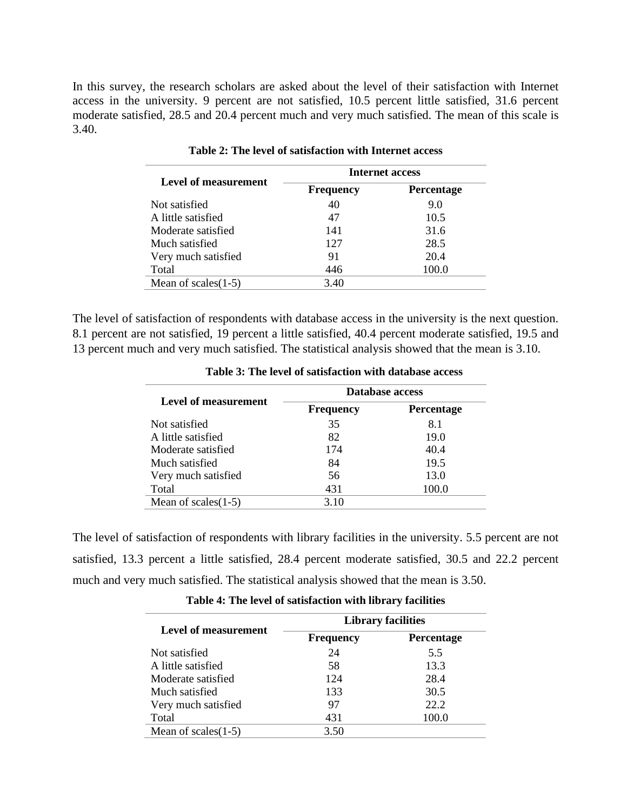In this survey, the research scholars are asked about the level of their satisfaction with Internet access in the university. 9 percent are not satisfied, 10.5 percent little satisfied, 31.6 percent moderate satisfied, 28.5 and 20.4 percent much and very much satisfied. The mean of this scale is 3.40.

|                        | Internet access  |                   |  |  |  |
|------------------------|------------------|-------------------|--|--|--|
| Level of measurement   | <b>Frequency</b> | <b>Percentage</b> |  |  |  |
| Not satisfied          | 40               | 9.0               |  |  |  |
| A little satisfied     | 47               | 10.5              |  |  |  |
| Moderate satisfied     | 141              | 31.6              |  |  |  |
| Much satisfied         | 127              | 28.5              |  |  |  |
| Very much satisfied    | 91               | 20.4              |  |  |  |
| Total                  | 446              | 100.0             |  |  |  |
| Mean of scales $(1-5)$ | 3.40             |                   |  |  |  |

**Table 2: The level of satisfaction with Internet access**

The level of satisfaction of respondents with database access in the university is the next question. 8.1 percent are not satisfied, 19 percent a little satisfied, 40.4 percent moderate satisfied, 19.5 and 13 percent much and very much satisfied. The statistical analysis showed that the mean is 3.10.

|                        | Database access  |                   |  |  |  |
|------------------------|------------------|-------------------|--|--|--|
| Level of measurement   | <b>Frequency</b> | <b>Percentage</b> |  |  |  |
| Not satisfied          | 35               | 8.1               |  |  |  |
| A little satisfied     | 82               | 19.0              |  |  |  |
| Moderate satisfied     | 174              | 40.4              |  |  |  |
| Much satisfied         | 84               | 19.5              |  |  |  |
| Very much satisfied    | 56               | 13.0              |  |  |  |
| Total                  | 431              | 100.0             |  |  |  |
| Mean of scales $(1-5)$ | 3.10             |                   |  |  |  |

**Table 3: The level of satisfaction with database access**

The level of satisfaction of respondents with library facilities in the university. 5.5 percent are not satisfied, 13.3 percent a little satisfied, 28.4 percent moderate satisfied, 30.5 and 22.2 percent much and very much satisfied. The statistical analysis showed that the mean is 3.50.

|                        | <b>Library facilities</b> |                   |  |  |  |
|------------------------|---------------------------|-------------------|--|--|--|
| Level of measurement   | <b>Frequency</b>          | <b>Percentage</b> |  |  |  |
| Not satisfied          | 24                        | 5.5               |  |  |  |
| A little satisfied     | 58                        | 13.3              |  |  |  |
| Moderate satisfied     | 124                       | 28.4              |  |  |  |
| Much satisfied         | 133                       | 30.5              |  |  |  |
| Very much satisfied    | 97                        | 22.2              |  |  |  |
| Total                  | 431                       | 100.0             |  |  |  |
| Mean of scales $(1-5)$ | 3.50                      |                   |  |  |  |

**Table 4: The level of satisfaction with library facilities**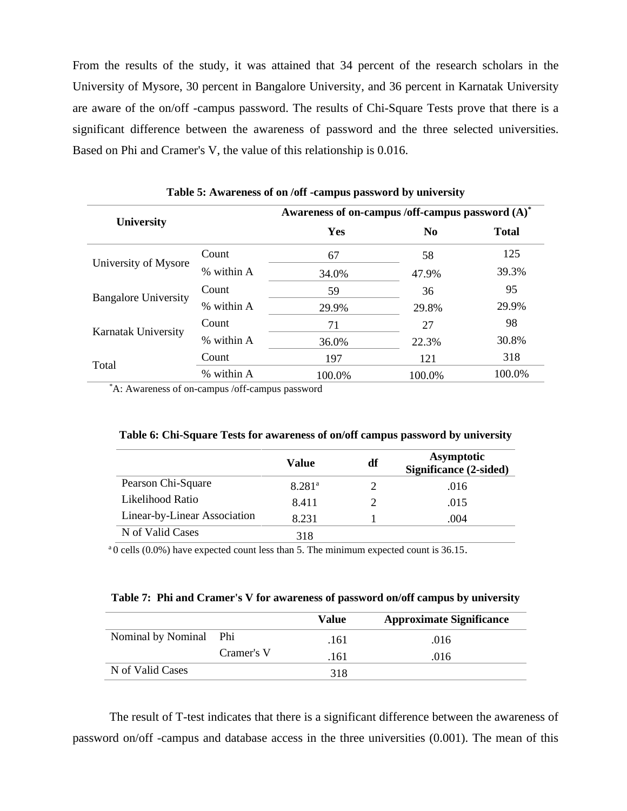From the results of the study, it was attained that 34 percent of the research scholars in the University of Mysore, 30 percent in Bangalore University, and 36 percent in Karnatak University are aware of the on/off -campus password. The results of Chi-Square Tests prove that there is a significant difference between the awareness of password and the three selected universities. Based on Phi and Cramer's V, the value of this relationship is 0.016.

|                             |            | Awareness of on-campus /off-campus password (A)* |                |              |  |  |
|-----------------------------|------------|--------------------------------------------------|----------------|--------------|--|--|
| <b>University</b>           |            | Yes                                              | N <sub>0</sub> | <b>Total</b> |  |  |
|                             | Count      | 67                                               | 58             | 125          |  |  |
| University of Mysore        | % within A | 34.0%                                            | 47.9%          | 39.3%        |  |  |
| <b>Bangalore University</b> | Count      | 59                                               | 36             | 95           |  |  |
|                             | % within A | 29.9%                                            | 29.8%          | 29.9%        |  |  |
| Karnatak University         | Count      | 71                                               | 27             | 98           |  |  |
|                             | % within A | 36.0%                                            | 22.3%          | 30.8%        |  |  |
|                             | Count      | 197                                              | 121            | 318          |  |  |
| Total                       | % within A | 100.0%                                           | 100.0%         | 100.0%       |  |  |

**Table 5: Awareness of on /off -campus password by university**

\*A: Awareness of on-campus /off-campus password

|                              | Value              | df | <b>Asymptotic</b><br>Significance (2-sided) |
|------------------------------|--------------------|----|---------------------------------------------|
| Pearson Chi-Square           | 8.281 <sup>a</sup> |    | .016                                        |
| Likelihood Ratio             | 8.411              |    | .015                                        |
| Linear-by-Linear Association | 8.231              |    | .004                                        |
| N of Valid Cases             | 318                |    |                                             |

 $a<sup>a</sup>0$  cells (0.0%) have expected count less than 5. The minimum expected count is 36.15.

| Table 7: Phi and Cramer's V for awareness of password on/off campus by university |  |  |
|-----------------------------------------------------------------------------------|--|--|
|-----------------------------------------------------------------------------------|--|--|

|                    |            | Value | <b>Approximate Significance</b> |
|--------------------|------------|-------|---------------------------------|
| Nominal by Nominal | Phi        | .161  | .016                            |
|                    | Cramer's V | .161  | .016                            |
| N of Valid Cases   |            | 318   |                                 |

The result of T-test indicates that there is a significant difference between the awareness of password on/off -campus and database access in the three universities (0.001). The mean of this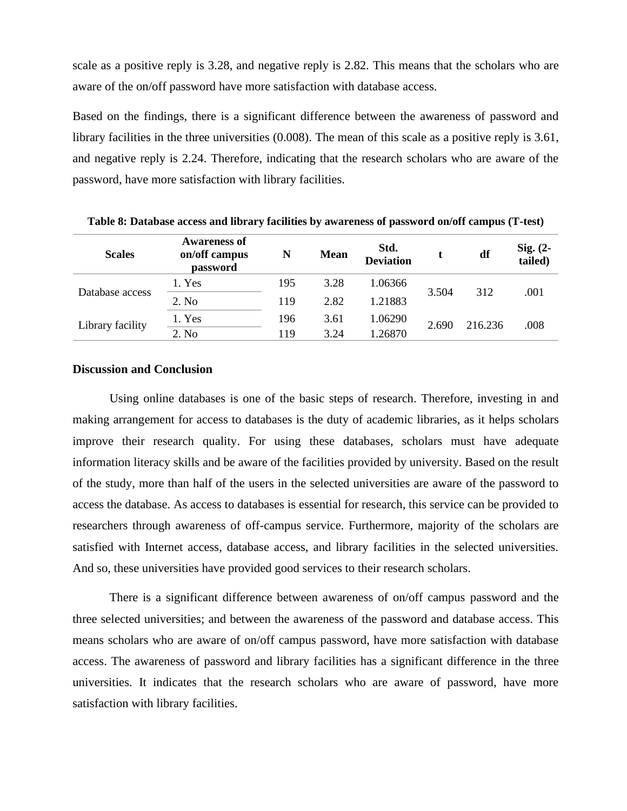scale as a positive reply is 3.28, and negative reply is 2.82. This means that the scholars who are aware of the on/off password have more satisfaction with database access.

Based on the findings, there is a significant difference between the awareness of password and library facilities in the three universities (0.008). The mean of this scale as a positive reply is 3.61, and negative reply is 2.24. Therefore, indicating that the research scholars who are aware of the password, have more satisfaction with library facilities.

| <b>Scales</b>    | <b>Awareness of</b><br>on/off campus<br>password | N   | <b>Mean</b> | Std.<br><b>Deviation</b> |       | df      | $Sig. (2-$<br>tailed) |
|------------------|--------------------------------------------------|-----|-------------|--------------------------|-------|---------|-----------------------|
| Database access  | 1. Yes                                           | 195 | 3.28        | 1.06366                  | 3.504 | 312     | .001                  |
|                  | 2. No                                            | 119 | 2.82        | 1.21883                  |       |         |                       |
| Library facility | 1. Yes                                           | 196 | 3.61        | 1.06290                  | 2.690 | 216.236 | .008                  |
|                  | 2. No                                            | 119 | 3.24        | 1.26870                  |       |         |                       |

**Table 8: Database access and library facilities by awareness of password on/off campus (T-test)**

#### **Discussion and Conclusion**

Using online databases is one of the basic steps of research. Therefore, investing in and making arrangement for access to databases is the duty of academic libraries, as it helps scholars improve their research quality. For using these databases, scholars must have adequate information literacy skills and be aware of the facilities provided by university. Based on the result of the study, more than half of the users in the selected universities are aware of the password to access the database. As access to databases is essential for research, this service can be provided to researchers through awareness of off-campus service. Furthermore, majority of the scholars are satisfied with Internet access, database access, and library facilities in the selected universities. And so, these universities have provided good services to their research scholars.

There is a significant difference between awareness of on/off campus password and the three selected universities; and between the awareness of the password and database access. This means scholars who are aware of on/off campus password, have more satisfaction with database access. The awareness of password and library facilities has a significant difference in the three universities. It indicates that the research scholars who are aware of password, have more satisfaction with library facilities.